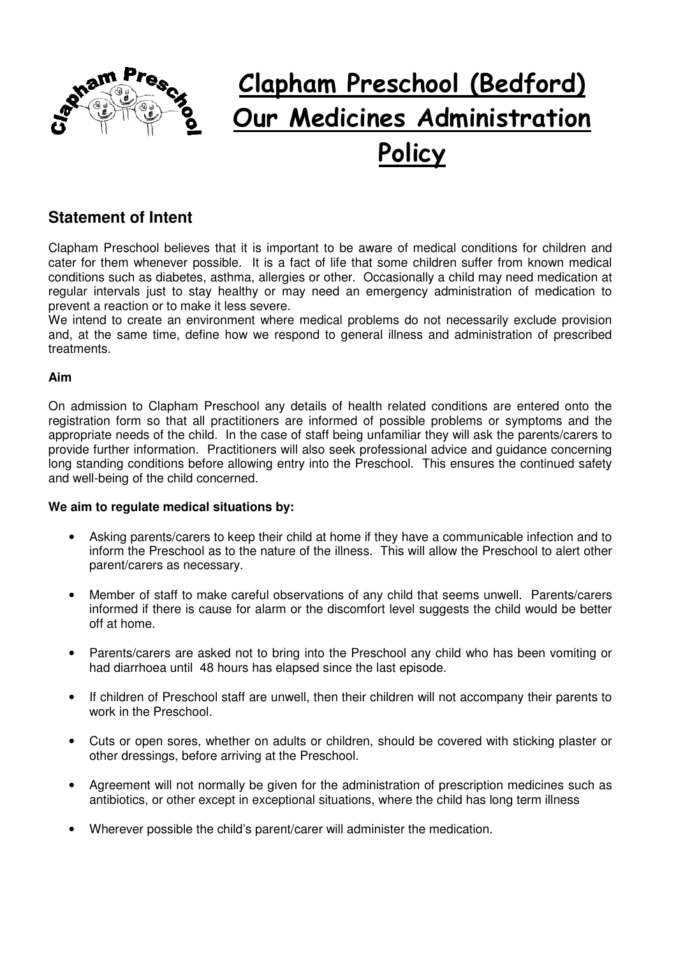

# **Clapham Preschool (Bedford) Our Medicines Administration Policy**

## **Statement of Intent**

Clapham Preschool believes that it is important to be aware of medical conditions for children and cater for them whenever possible. It is a fact of life that some children suffer from known medical conditions such as diabetes, asthma, allergies or other. Occasionally a child may need medication at regular intervals just to stay healthy or may need an emergency administration of medication to prevent a reaction or to make it less severe.

We intend to create an environment where medical problems do not necessarily exclude provision and, at the same time, define how we respond to general illness and administration of prescribed treatments.

### **Aim**

On admission to Clapham Preschool any details of health related conditions are entered onto the registration form so that all practitioners are informed of possible problems or symptoms and the appropriate needs of the child. In the case of staff being unfamiliar they will ask the parents/carers to provide further information. Practitioners will also seek professional advice and guidance concerning long standing conditions before allowing entry into the Preschool. This ensures the continued safety and well-being of the child concerned.

### **We aim to regulate medical situations by:**

- Asking parents/carers to keep their child at home if they have a communicable infection and to inform the Preschool as to the nature of the illness. This will allow the Preschool to alert other parent/carers as necessary.
- Member of staff to make careful observations of any child that seems unwell. Parents/carers informed if there is cause for alarm or the discomfort level suggests the child would be better off at home.
- Parents/carers are asked not to bring into the Preschool any child who has been vomiting or had diarrhoea until 48 hours has elapsed since the last episode.
- If children of Preschool staff are unwell, then their children will not accompany their parents to work in the Preschool.
- Cuts or open sores, whether on adults or children, should be covered with sticking plaster or other dressings, before arriving at the Preschool.
- Agreement will not normally be given for the administration of prescription medicines such as antibiotics, or other except in exceptional situations, where the child has long term illness
- Wherever possible the child's parent/carer will administer the medication.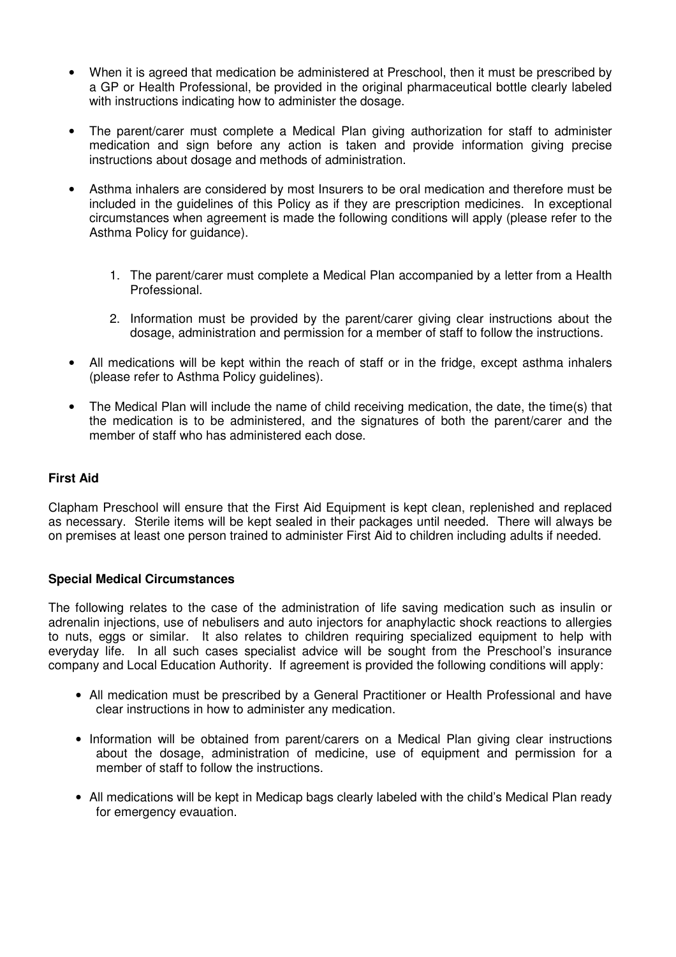- When it is agreed that medication be administered at Preschool, then it must be prescribed by a GP or Health Professional, be provided in the original pharmaceutical bottle clearly labeled with instructions indicating how to administer the dosage.
- The parent/carer must complete a Medical Plan giving authorization for staff to administer medication and sign before any action is taken and provide information giving precise instructions about dosage and methods of administration.
- Asthma inhalers are considered by most Insurers to be oral medication and therefore must be included in the guidelines of this Policy as if they are prescription medicines. In exceptional circumstances when agreement is made the following conditions will apply (please refer to the Asthma Policy for guidance).
	- 1. The parent/carer must complete a Medical Plan accompanied by a letter from a Health Professional.
	- 2. Information must be provided by the parent/carer giving clear instructions about the dosage, administration and permission for a member of staff to follow the instructions.
- All medications will be kept within the reach of staff or in the fridge, except asthma inhalers (please refer to Asthma Policy guidelines).
- The Medical Plan will include the name of child receiving medication, the date, the time(s) that the medication is to be administered, and the signatures of both the parent/carer and the member of staff who has administered each dose.

### **First Aid**

Clapham Preschool will ensure that the First Aid Equipment is kept clean, replenished and replaced as necessary. Sterile items will be kept sealed in their packages until needed. There will always be on premises at least one person trained to administer First Aid to children including adults if needed.

### **Special Medical Circumstances**

The following relates to the case of the administration of life saving medication such as insulin or adrenalin injections, use of nebulisers and auto injectors for anaphylactic shock reactions to allergies to nuts, eggs or similar. It also relates to children requiring specialized equipment to help with everyday life. In all such cases specialist advice will be sought from the Preschool's insurance company and Local Education Authority. If agreement is provided the following conditions will apply:

- All medication must be prescribed by a General Practitioner or Health Professional and have clear instructions in how to administer any medication.
- Information will be obtained from parent/carers on a Medical Plan giving clear instructions about the dosage, administration of medicine, use of equipment and permission for a member of staff to follow the instructions.
- All medications will be kept in Medicap bags clearly labeled with the child's Medical Plan ready for emergency evauation.